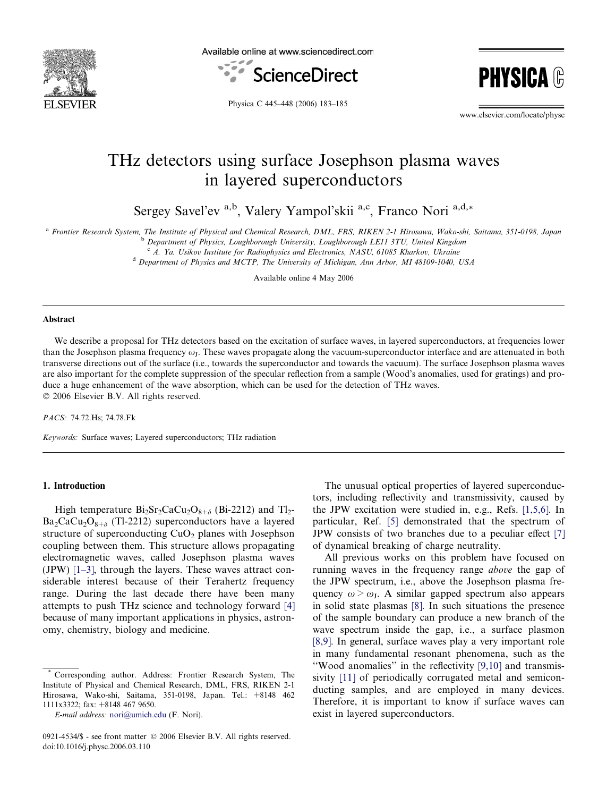

Available online at www.sciencedirect.com





Physica C 445–448 (2006) 183–185

www.elsevier.com/locate/physc

# THz detectors using surface Josephson plasma waves in layered superconductors

Sergey Savel'ev <sup>a,b</sup>, Valery Yampol'skii <sup>a,c</sup>, Franco Nori <sup>a,d,\*</sup>

a Frontier Research System, The Institute of Physical and Chemical Research, DML, FRS, RIKEN 2-1 Hirosawa, Wako-shi, Saitama, 351-0198, Japan

<sup>b</sup> Department of Physics, Loughborough University, Loughborough LE11 3TU, United Kingdom

 $c$  A. Ya. Usikov Institute for Radiophysics and Electronics, NASU, 61085 Kharkov, Ukraine

<sup>d</sup> Department of Physics and MCTP, The University of Michigan, Ann Arbor, MI 48109-1040, USA

Available online 4 May 2006

#### Abstract

We describe a proposal for THz detectors based on the excitation of surface waves, in layered superconductors, at frequencies lower than the Josephson plasma frequency  $\omega_{J}$ . These waves propagate along the vacuum-superconductor interface and are attenuated in both transverse directions out of the surface (i.e., towards the superconductor and towards the vacuum). The surface Josephson plasma waves are also important for the complete suppression of the specular reflection from a sample (Wood's anomalies, used for gratings) and produce a huge enhancement of the wave absorption, which can be used for the detection of THz waves. © 2006 Elsevier B.V. All rights reserved.

PACS: 74.72.Hs; 74.78.Fk

Keywords: Surface waves; Layered superconductors; THz radiation

#### 1. Introduction

High temperature  $Bi_2Sr_2CaCu_2O_{8+\delta}$  (Bi-2212) and Tl<sub>2</sub>- $Ba_2CaCu_2O_{8+\delta}$  (Tl-2212) superconductors have a layered structure of superconducting  $CuO<sub>2</sub>$  planes with Josephson coupling between them. This structure allows propagating electromagnetic waves, called Josephson plasma waves (JPW) [\[1–3\]](#page-2-0), through the layers. These waves attract considerable interest because of their Terahertz frequency range. During the last decade there have been many attempts to push THz science and technology forward [\[4\]](#page-2-0) because of many important applications in physics, astronomy, chemistry, biology and medicine.

The unusual optical properties of layered superconductors, including reflectivity and transmissivity, caused by the JPW excitation were studied in, e.g., Refs. [\[1,5,6\]](#page-2-0). In particular, Ref. [\[5\]](#page-2-0) demonstrated that the spectrum of JPW consists of two branches due to a peculiar effect [\[7\]](#page-2-0) of dynamical breaking of charge neutrality.

All previous works on this problem have focused on running waves in the frequency range above the gap of the JPW spectrum, i.e., above the Josephson plasma frequency  $\omega > \omega_{J}$ . A similar gapped spectrum also appears in solid state plasmas [\[8\]](#page-2-0). In such situations the presence of the sample boundary can produce a new branch of the wave spectrum inside the gap, i.e., a surface plasmon [\[8,9\].](#page-2-0) In general, surface waves play a very important role in many fundamental resonant phenomena, such as the ''Wood anomalies'' in the reflectivity [\[9,10\]](#page-2-0) and transmissivity [\[11\]](#page-2-0) of periodically corrugated metal and semiconducting samples, and are employed in many devices. Therefore, it is important to know if surface waves can exist in layered superconductors.

Corresponding author. Address: Frontier Research System, The Institute of Physical and Chemical Research, DML, FRS, RIKEN 2-1 Hirosawa, Wako-shi, Saitama, 351-0198, Japan. Tel.: +8148 462 1111x3322; fax: +8148 467 9650.

E-mail address: [nori@umich.edu](mailto:nori@umich.edu) (F. Nori).

<sup>0921-4534/\$ -</sup> see front matter © 2006 Elsevier B.V. All rights reserved. doi:10.1016/j.physc.2006.03.110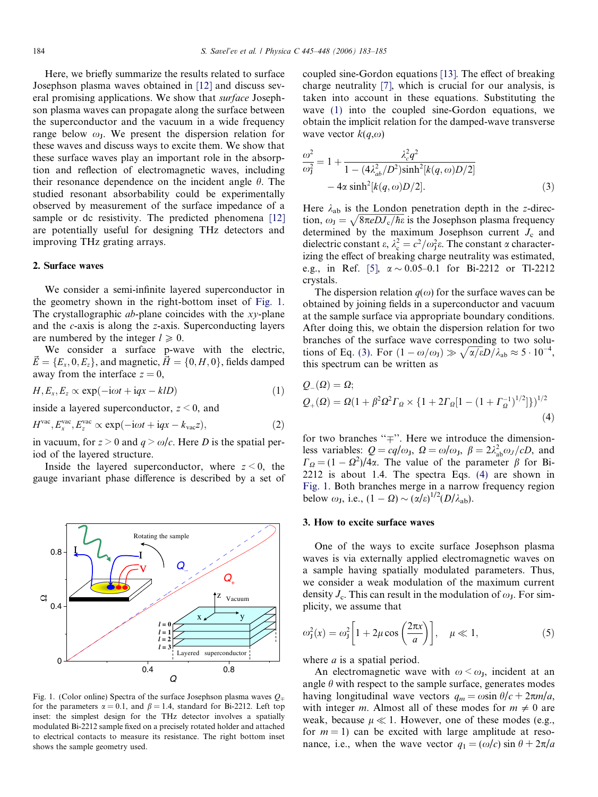<span id="page-1-0"></span>Here, we briefly summarize the results related to surface Josephson plasma waves obtained in [\[12\]](#page-2-0) and discuss several promising applications. We show that surface Josephson plasma waves can propagate along the surface between the superconductor and the vacuum in a wide frequency range below  $\omega$ <sub>I</sub>. We present the dispersion relation for these waves and discuss ways to excite them. We show that these surface waves play an important role in the absorption and reflection of electromagnetic waves, including their resonance dependence on the incident angle  $\theta$ . The studied resonant absorbability could be experimentally observed by measurement of the surface impedance of a sample or dc resistivity. The predicted phenomena [\[12\]](#page-2-0) are potentially useful for designing THz detectors and improving THz grating arrays.

# 2. Surface waves

We consider a semi-infinite layered superconductor in the geometry shown in the right-bottom inset of Fig. 1. The crystallographic *ab*-plane coincides with the *xy*-plane and the c-axis is along the z-axis. Superconducting layers are numbered by the integer  $l \geq 0$ .

We consider a surface p-wave with the electric,  $\vec{E} = \{E_x, 0, E_z\}$ , and magnetic,  $\vec{H} = \{0, H, 0\}$ , fields damped away from the interface  $z = 0$ ,

$$
H, E_x, E_z \propto \exp(-i\omega t + iqx - klD)
$$
 (1)

inside a layered superconductor,  $z \leq 0$ , and

$$
Hvac, Exvac, Ezvac \propto \exp(-i\omega t + iqx - kvacz),
$$
 (2)

in vacuum, for  $z > 0$  and  $q > \omega/c$ . Here D is the spatial period of the layered structure.

Inside the layered superconductor, where  $z \leq 0$ , the gauge invariant phase difference is described by a set of



Fig. 1. (Color online) Spectra of the surface Josephson plasma waves  $Q_{\pm}$ for the parameters  $\alpha = 0.1$ , and  $\beta = 1.4$ , standard for Bi-2212. Left top inset: the simplest design for the THz detector involves a spatially modulated Bi-2212 sample fixed on a precisely rotated holder and attached to electrical contacts to measure its resistance. The right bottom inset shows the sample geometry used.

coupled sine-Gordon equations [\[13\]](#page-2-0). The effect of breaking charge neutrality [\[7\],](#page-2-0) which is crucial for our analysis, is taken into account in these equations. Substituting the wave (1) into the coupled sine-Gordon equations, we obtain the implicit relation for the damped-wave transverse wave vector  $k(q,\omega)$ 

$$
\frac{\omega^2}{\omega_1^2} = 1 + \frac{\lambda_c^2 q^2}{1 - (4\lambda_{ab}^2/D^2)\sinh^2[k(q,\omega)D/2]} - 4\alpha \sinh^2[k(q,\omega)D/2].
$$
\n(3)

Here  $\lambda_{ab}$  is the London penetration depth in the z-direc-There  $\lambda_{ab}$  is the Eondon penetration depth in the 2-direction,  $\omega_J = \sqrt{8\pi e D J_c/\hbar \epsilon}$  is the Josephson plasma frequency determined by the maximum Josephson current  $J_c$  and dielectric constant  $\varepsilon$ ,  $\lambda_c^2 = c^2/\omega_J^2 \varepsilon$ . The constant  $\alpha$  characterizing the effect of breaking charge neutrality was estimated, e.g., in Ref. [\[5\]](#page-2-0),  $\alpha \sim 0.05-0.1$  for Bi-2212 or Tl-2212 crystals.

The dispersion relation  $q(\omega)$  for the surface waves can be obtained by joining fields in a superconductor and vacuum at the sample surface via appropriate boundary conditions. After doing this, we obtain the dispersion relation for two branches of the surface wave corresponding to two solutions of Eq. (3). For  $(1 - \omega/\omega_J) \gg \sqrt{\alpha/\epsilon}D/\lambda_{ab} \approx 5 \cdot 10^{-4}$ , this spectrum can be written as

$$
Q_{-}(\Omega) = \Omega;
$$
  
\n
$$
Q_{+}(\Omega) = \Omega(1 + \beta^{2} \Omega^{2} \Gamma_{\Omega} \times \{1 + 2\Gamma_{\Omega}[1 - (1 + \Gamma_{\Omega}^{-1})^{1/2}]\})^{1/2}
$$
\n(4)

for two branches " $\mp$ ". Here we introduce the dimensionless variables:  $Q = cq/\omega_J$ ,  $\Omega = \omega/\omega_J$ ,  $\beta = 2\lambda_{ab}^2 \omega_J/cD$ , and  $\Gamma_{\Omega} = (1 - \Omega^2)/4\alpha$ . The value of the parameter  $\beta$  for Bi-2212 is about 1.4. The spectra Eqs. (4) are shown in Fig. 1. Both branches merge in a narrow frequency region below  $\omega_{\rm J}$ , i.e.,  $(1 - \Omega) \sim (\alpha/\epsilon)^{1/2} (D/\lambda_{\rm ab})$ .

## 3. How to excite surface waves

One of the ways to excite surface Josephson plasma waves is via externally applied electromagnetic waves on a sample having spatially modulated parameters. Thus, we consider a weak modulation of the maximum current density  $J_c$ . This can result in the modulation of  $\omega_{\rm J}$ . For simplicity, we assume that

$$
\omega_{\mathbf{J}}^2(x) = \omega_{\mathbf{J}}^2 \left[ 1 + 2\mu \cos\left(\frac{2\pi x}{a}\right) \right], \quad \mu \ll 1,
$$
 (5)

where  $a$  is a spatial period.

An electromagnetic wave with  $\omega < \omega_J$ , incident at an angle  $\theta$  with respect to the sample surface, generates modes having longitudinal wave vectors  $q_m = \omega \sin \theta/c + 2\pi m/a$ , with integer m. Almost all of these modes for  $m \neq 0$  are weak, because  $\mu \ll 1$ . However, one of these modes (e.g., for  $m = 1$ ) can be excited with large amplitude at resonance, i.e., when the wave vector  $q_1 = (\omega/c) \sin \theta + 2\pi/a$